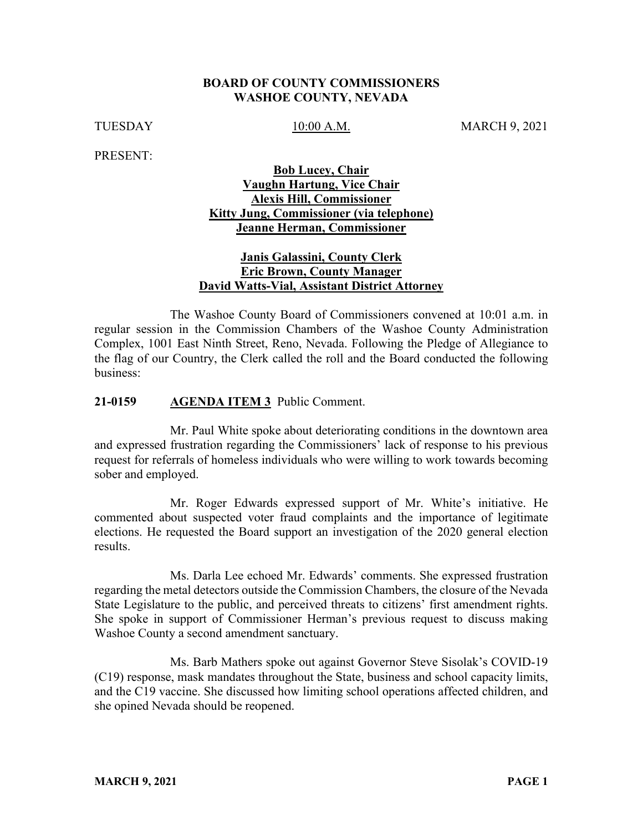### **BOARD OF COUNTY COMMISSIONERS WASHOE COUNTY, NEVADA**

TUESDAY 10:00 A.M. MARCH 9, 2021

PRESENT:

# **Bob Lucey, Chair Vaughn Hartung, Vice Chair Alexis Hill, Commissioner Kitty Jung, Commissioner (via telephone) Jeanne Herman, Commissioner**

# **Janis Galassini, County Clerk Eric Brown, County Manager David Watts-Vial, Assistant District Attorney**

The Washoe County Board of Commissioners convened at 10:01 a.m. in regular session in the Commission Chambers of the Washoe County Administration Complex, 1001 East Ninth Street, Reno, Nevada. Following the Pledge of Allegiance to the flag of our Country, the Clerk called the roll and the Board conducted the following business:

### **21-0159 AGENDA ITEM 3** Public Comment.

Mr. Paul White spoke about deteriorating conditions in the downtown area and expressed frustration regarding the Commissioners' lack of response to his previous request for referrals of homeless individuals who were willing to work towards becoming sober and employed.

Mr. Roger Edwards expressed support of Mr. White's initiative. He commented about suspected voter fraud complaints and the importance of legitimate elections. He requested the Board support an investigation of the 2020 general election results.

Ms. Darla Lee echoed Mr. Edwards' comments. She expressed frustration regarding the metal detectors outside the Commission Chambers, the closure of the Nevada State Legislature to the public, and perceived threats to citizens' first amendment rights. She spoke in support of Commissioner Herman's previous request to discuss making Washoe County a second amendment sanctuary.

Ms. Barb Mathers spoke out against Governor Steve Sisolak's COVID-19 (C19) response, mask mandates throughout the State, business and school capacity limits, and the C19 vaccine. She discussed how limiting school operations affected children, and she opined Nevada should be reopened.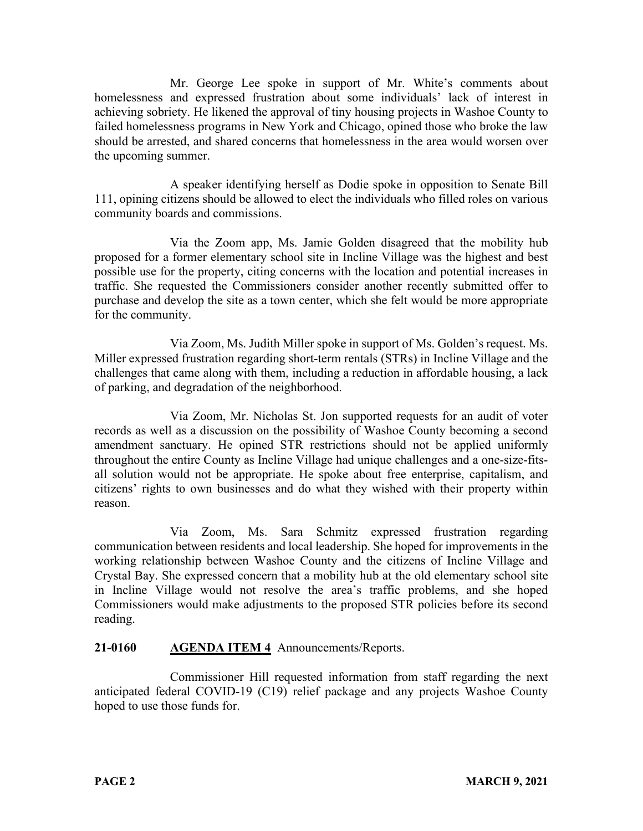Mr. George Lee spoke in support of Mr. White's comments about homelessness and expressed frustration about some individuals' lack of interest in achieving sobriety. He likened the approval of tiny housing projects in Washoe County to failed homelessness programs in New York and Chicago, opined those who broke the law should be arrested, and shared concerns that homelessness in the area would worsen over the upcoming summer.

A speaker identifying herself as Dodie spoke in opposition to Senate Bill 111, opining citizens should be allowed to elect the individuals who filled roles on various community boards and commissions.

Via the Zoom app, Ms. Jamie Golden disagreed that the mobility hub proposed for a former elementary school site in Incline Village was the highest and best possible use for the property, citing concerns with the location and potential increases in traffic. She requested the Commissioners consider another recently submitted offer to purchase and develop the site as a town center, which she felt would be more appropriate for the community.

Via Zoom, Ms. Judith Miller spoke in support of Ms. Golden's request. Ms. Miller expressed frustration regarding short-term rentals (STRs) in Incline Village and the challenges that came along with them, including a reduction in affordable housing, a lack of parking, and degradation of the neighborhood.

Via Zoom, Mr. Nicholas St. Jon supported requests for an audit of voter records as well as a discussion on the possibility of Washoe County becoming a second amendment sanctuary. He opined STR restrictions should not be applied uniformly throughout the entire County as Incline Village had unique challenges and a one-size-fitsall solution would not be appropriate. He spoke about free enterprise, capitalism, and citizens' rights to own businesses and do what they wished with their property within reason.

Via Zoom, Ms. Sara Schmitz expressed frustration regarding communication between residents and local leadership. She hoped for improvements in the working relationship between Washoe County and the citizens of Incline Village and Crystal Bay. She expressed concern that a mobility hub at the old elementary school site in Incline Village would not resolve the area's traffic problems, and she hoped Commissioners would make adjustments to the proposed STR policies before its second reading.

# **21-0160 AGENDA ITEM 4** Announcements/Reports.

Commissioner Hill requested information from staff regarding the next anticipated federal COVID-19 (C19) relief package and any projects Washoe County hoped to use those funds for.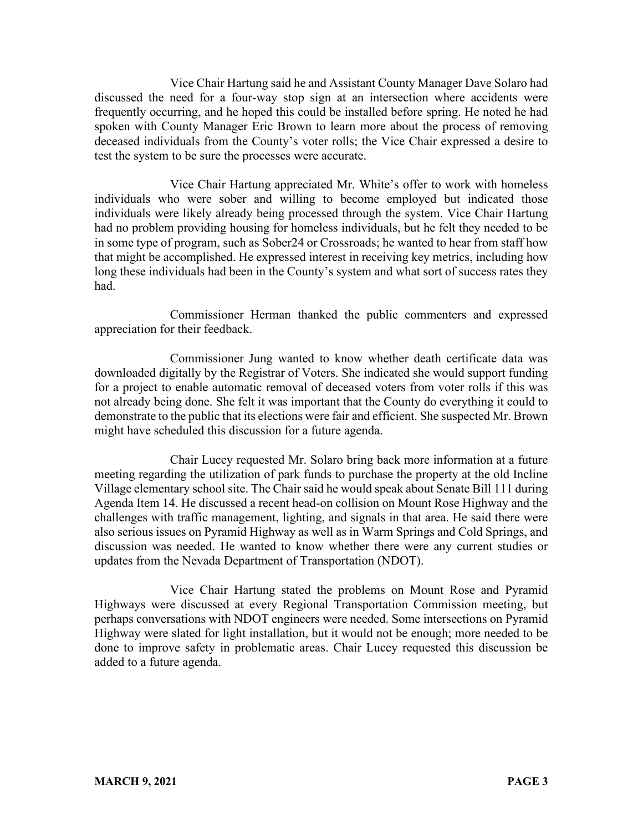Vice Chair Hartung said he and Assistant County Manager Dave Solaro had discussed the need for a four-way stop sign at an intersection where accidents were frequently occurring, and he hoped this could be installed before spring. He noted he had spoken with County Manager Eric Brown to learn more about the process of removing deceased individuals from the County's voter rolls; the Vice Chair expressed a desire to test the system to be sure the processes were accurate.

Vice Chair Hartung appreciated Mr. White's offer to work with homeless individuals who were sober and willing to become employed but indicated those individuals were likely already being processed through the system. Vice Chair Hartung had no problem providing housing for homeless individuals, but he felt they needed to be in some type of program, such as Sober24 or Crossroads; he wanted to hear from staff how that might be accomplished. He expressed interest in receiving key metrics, including how long these individuals had been in the County's system and what sort of success rates they had.

Commissioner Herman thanked the public commenters and expressed appreciation for their feedback.

Commissioner Jung wanted to know whether death certificate data was downloaded digitally by the Registrar of Voters. She indicated she would support funding for a project to enable automatic removal of deceased voters from voter rolls if this was not already being done. She felt it was important that the County do everything it could to demonstrate to the public that its elections were fair and efficient. She suspected Mr. Brown might have scheduled this discussion for a future agenda.

Chair Lucey requested Mr. Solaro bring back more information at a future meeting regarding the utilization of park funds to purchase the property at the old Incline Village elementary school site. The Chair said he would speak about Senate Bill 111 during Agenda Item 14. He discussed a recent head-on collision on Mount Rose Highway and the challenges with traffic management, lighting, and signals in that area. He said there were also serious issues on Pyramid Highway as well as in Warm Springs and Cold Springs, and discussion was needed. He wanted to know whether there were any current studies or updates from the Nevada Department of Transportation (NDOT).

Vice Chair Hartung stated the problems on Mount Rose and Pyramid Highways were discussed at every Regional Transportation Commission meeting, but perhaps conversations with NDOT engineers were needed. Some intersections on Pyramid Highway were slated for light installation, but it would not be enough; more needed to be done to improve safety in problematic areas. Chair Lucey requested this discussion be added to a future agenda.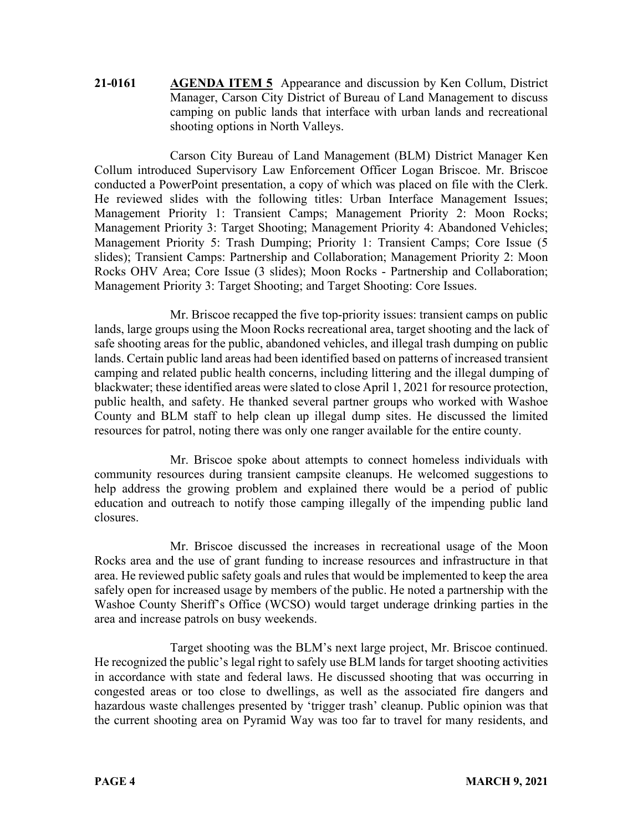**21-0161 AGENDA ITEM 5** Appearance and discussion by Ken Collum, District Manager, Carson City District of Bureau of Land Management to discuss camping on public lands that interface with urban lands and recreational shooting options in North Valleys.

Carson City Bureau of Land Management (BLM) District Manager Ken Collum introduced Supervisory Law Enforcement Officer Logan Briscoe. Mr. Briscoe conducted a PowerPoint presentation, a copy of which was placed on file with the Clerk. He reviewed slides with the following titles: Urban Interface Management Issues; Management Priority 1: Transient Camps; Management Priority 2: Moon Rocks; Management Priority 3: Target Shooting; Management Priority 4: Abandoned Vehicles; Management Priority 5: Trash Dumping; Priority 1: Transient Camps; Core Issue (5 slides); Transient Camps: Partnership and Collaboration; Management Priority 2: Moon Rocks OHV Area; Core Issue (3 slides); Moon Rocks - Partnership and Collaboration; Management Priority 3: Target Shooting; and Target Shooting: Core Issues.

Mr. Briscoe recapped the five top-priority issues: transient camps on public lands, large groups using the Moon Rocks recreational area, target shooting and the lack of safe shooting areas for the public, abandoned vehicles, and illegal trash dumping on public lands. Certain public land areas had been identified based on patterns of increased transient camping and related public health concerns, including littering and the illegal dumping of blackwater; these identified areas were slated to close April 1, 2021 for resource protection, public health, and safety. He thanked several partner groups who worked with Washoe County and BLM staff to help clean up illegal dump sites. He discussed the limited resources for patrol, noting there was only one ranger available for the entire county.

Mr. Briscoe spoke about attempts to connect homeless individuals with community resources during transient campsite cleanups. He welcomed suggestions to help address the growing problem and explained there would be a period of public education and outreach to notify those camping illegally of the impending public land closures.

Mr. Briscoe discussed the increases in recreational usage of the Moon Rocks area and the use of grant funding to increase resources and infrastructure in that area. He reviewed public safety goals and rules that would be implemented to keep the area safely open for increased usage by members of the public. He noted a partnership with the Washoe County Sheriff's Office (WCSO) would target underage drinking parties in the area and increase patrols on busy weekends.

Target shooting was the BLM's next large project, Mr. Briscoe continued. He recognized the public's legal right to safely use BLM lands for target shooting activities in accordance with state and federal laws. He discussed shooting that was occurring in congested areas or too close to dwellings, as well as the associated fire dangers and hazardous waste challenges presented by 'trigger trash' cleanup. Public opinion was that the current shooting area on Pyramid Way was too far to travel for many residents, and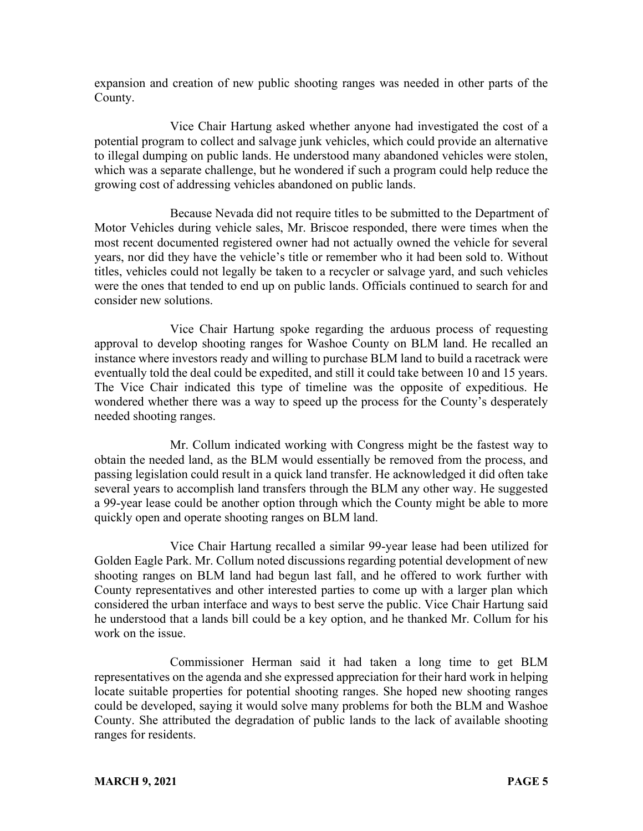expansion and creation of new public shooting ranges was needed in other parts of the County.

Vice Chair Hartung asked whether anyone had investigated the cost of a potential program to collect and salvage junk vehicles, which could provide an alternative to illegal dumping on public lands. He understood many abandoned vehicles were stolen, which was a separate challenge, but he wondered if such a program could help reduce the growing cost of addressing vehicles abandoned on public lands.

Because Nevada did not require titles to be submitted to the Department of Motor Vehicles during vehicle sales, Mr. Briscoe responded, there were times when the most recent documented registered owner had not actually owned the vehicle for several years, nor did they have the vehicle's title or remember who it had been sold to. Without titles, vehicles could not legally be taken to a recycler or salvage yard, and such vehicles were the ones that tended to end up on public lands. Officials continued to search for and consider new solutions.

Vice Chair Hartung spoke regarding the arduous process of requesting approval to develop shooting ranges for Washoe County on BLM land. He recalled an instance where investors ready and willing to purchase BLM land to build a racetrack were eventually told the deal could be expedited, and still it could take between 10 and 15 years. The Vice Chair indicated this type of timeline was the opposite of expeditious. He wondered whether there was a way to speed up the process for the County's desperately needed shooting ranges.

Mr. Collum indicated working with Congress might be the fastest way to obtain the needed land, as the BLM would essentially be removed from the process, and passing legislation could result in a quick land transfer. He acknowledged it did often take several years to accomplish land transfers through the BLM any other way. He suggested a 99-year lease could be another option through which the County might be able to more quickly open and operate shooting ranges on BLM land.

Vice Chair Hartung recalled a similar 99-year lease had been utilized for Golden Eagle Park. Mr. Collum noted discussions regarding potential development of new shooting ranges on BLM land had begun last fall, and he offered to work further with County representatives and other interested parties to come up with a larger plan which considered the urban interface and ways to best serve the public. Vice Chair Hartung said he understood that a lands bill could be a key option, and he thanked Mr. Collum for his work on the issue.

Commissioner Herman said it had taken a long time to get BLM representatives on the agenda and she expressed appreciation for their hard work in helping locate suitable properties for potential shooting ranges. She hoped new shooting ranges could be developed, saying it would solve many problems for both the BLM and Washoe County. She attributed the degradation of public lands to the lack of available shooting ranges for residents.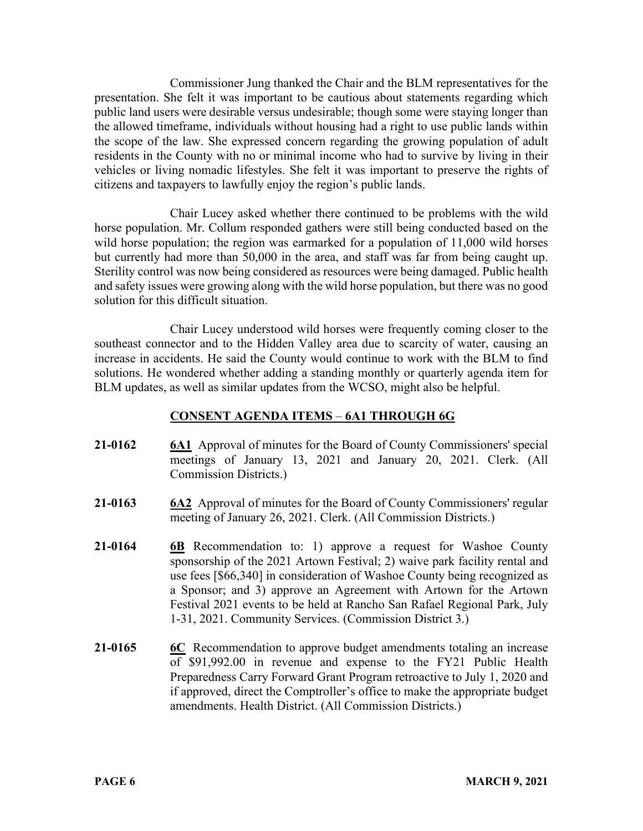Commissioner Jung thanked the Chair and the BLM representatives for the presentation. She felt it was important to be cautious about statements regarding which public land users were desirable versus undesirable; though some were staying longer than the allowed timeframe, individuals without housing had a right to use public lands within the scope of the law. She expressed concern regarding the growing population of adult residents in the County with no or minimal income who had to survive by living in their vehicles or living nomadic lifestyles. She felt it was important to preserve the rights of citizens and taxpayers to lawfully enjoy the region's public lands.

Chair Lucey asked whether there continued to be problems with the wild horse population. Mr. Collum responded gathers were still being conducted based on the wild horse population; the region was earmarked for a population of 11,000 wild horses but currently had more than 50,000 in the area, and staff was far from being caught up. Sterility control was now being considered as resources were being damaged. Public health and safety issues were growing along with the wild horse population, but there was no good solution for this difficult situation.

Chair Lucey understood wild horses were frequently coming closer to the southeast connector and to the Hidden Valley area due to scarcity of water, causing an increase in accidents. He said the County would continue to work with the BLM to find solutions. He wondered whether adding a standing monthly or quarterly agenda item for BLM updates, as well as similar updates from the WCSO, might also be helpful.

# **CONSENT AGENDA ITEMS** – **6A1 THROUGH 6G**

- **21-0162 6A1** Approval of minutes for the Board of County Commissioners' special meetings of January 13, 2021 and January 20, 2021. Clerk. (All Commission Districts.)
- **21-0163 6A2** Approval of minutes for the Board of County Commissioners' regular meeting of January 26, 2021. Clerk. (All Commission Districts.)
- **21-0164 6B** Recommendation to: 1) approve a request for Washoe County sponsorship of the 2021 Artown Festival; 2) waive park facility rental and use fees [\$66,340] in consideration of Washoe County being recognized as a Sponsor; and 3) approve an Agreement with Artown for the Artown Festival 2021 events to be held at Rancho San Rafael Regional Park, July 1-31, 2021. Community Services. (Commission District 3.)
- **21-0165 6C** Recommendation to approve budget amendments totaling an increase of \$91,992.00 in revenue and expense to the FY21 Public Health Preparedness Carry Forward Grant Program retroactive to July 1, 2020 and if approved, direct the Comptroller's office to make the appropriate budget amendments. Health District. (All Commission Districts.)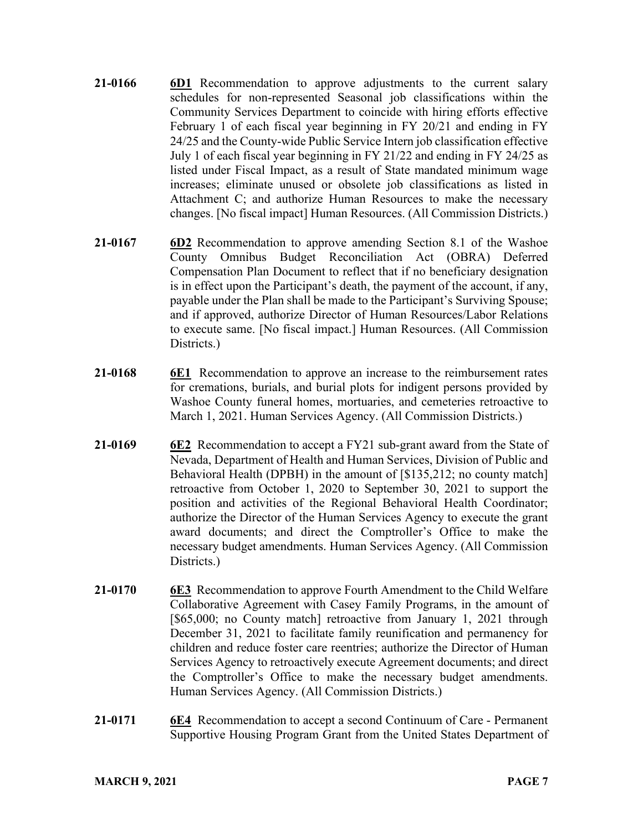- **21-0166 6D1** Recommendation to approve adjustments to the current salary schedules for non-represented Seasonal job classifications within the Community Services Department to coincide with hiring efforts effective February 1 of each fiscal year beginning in FY 20/21 and ending in FY 24/25 and the County-wide Public Service Intern job classification effective July 1 of each fiscal year beginning in FY 21/22 and ending in FY 24/25 as listed under Fiscal Impact, as a result of State mandated minimum wage increases; eliminate unused or obsolete job classifications as listed in Attachment C; and authorize Human Resources to make the necessary changes. [No fiscal impact] Human Resources. (All Commission Districts.)
- **21-0167 6D2** Recommendation to approve amending Section 8.1 of the Washoe County Omnibus Budget Reconciliation Act (OBRA) Deferred Compensation Plan Document to reflect that if no beneficiary designation is in effect upon the Participant's death, the payment of the account, if any, payable under the Plan shall be made to the Participant's Surviving Spouse; and if approved, authorize Director of Human Resources/Labor Relations to execute same. [No fiscal impact.] Human Resources. (All Commission Districts.)
- **21-0168 6E1** Recommendation to approve an increase to the reimbursement rates for cremations, burials, and burial plots for indigent persons provided by Washoe County funeral homes, mortuaries, and cemeteries retroactive to March 1, 2021. Human Services Agency. (All Commission Districts.)
- **21-0169 6E2** Recommendation to accept a FY21 sub-grant award from the State of Nevada, Department of Health and Human Services, Division of Public and Behavioral Health (DPBH) in the amount of [\$135,212; no county match] retroactive from October 1, 2020 to September 30, 2021 to support the position and activities of the Regional Behavioral Health Coordinator; authorize the Director of the Human Services Agency to execute the grant award documents; and direct the Comptroller's Office to make the necessary budget amendments. Human Services Agency. (All Commission Districts.)
- **21-0170 6E3** Recommendation to approve Fourth Amendment to the Child Welfare Collaborative Agreement with Casey Family Programs, in the amount of [\$65,000; no County match] retroactive from January 1, 2021 through December 31, 2021 to facilitate family reunification and permanency for children and reduce foster care reentries; authorize the Director of Human Services Agency to retroactively execute Agreement documents; and direct the Comptroller's Office to make the necessary budget amendments. Human Services Agency. (All Commission Districts.)
- **21-0171 6E4** Recommendation to accept a second Continuum of Care Permanent Supportive Housing Program Grant from the United States Department of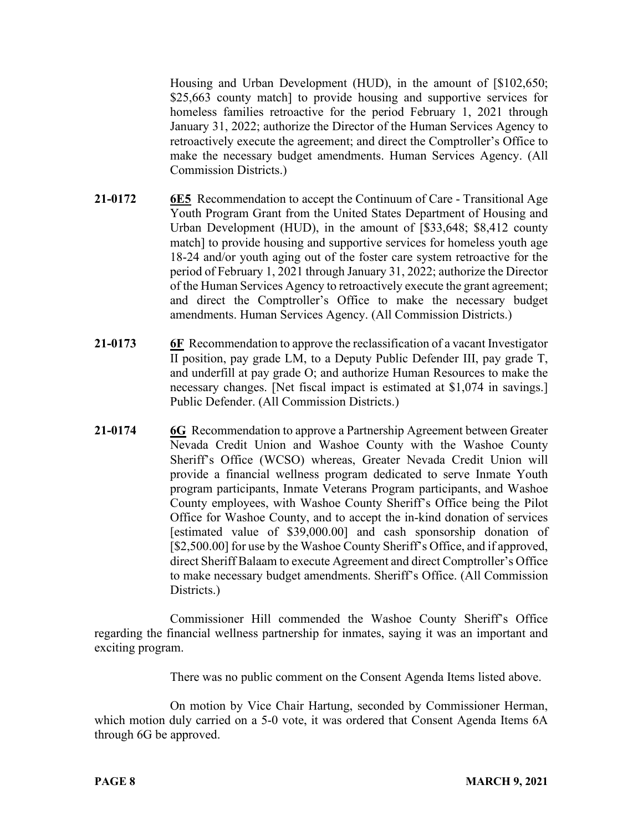Housing and Urban Development (HUD), in the amount of [\$102,650; \$25,663 county match] to provide housing and supportive services for homeless families retroactive for the period February 1, 2021 through January 31, 2022; authorize the Director of the Human Services Agency to retroactively execute the agreement; and direct the Comptroller's Office to make the necessary budget amendments. Human Services Agency. (All Commission Districts.)

- **21-0172 6E5** Recommendation to accept the Continuum of Care Transitional Age Youth Program Grant from the United States Department of Housing and Urban Development (HUD), in the amount of [\$33,648; \$8,412 county match] to provide housing and supportive services for homeless youth age 18-24 and/or youth aging out of the foster care system retroactive for the period of February 1, 2021 through January 31, 2022; authorize the Director of the Human Services Agency to retroactively execute the grant agreement; and direct the Comptroller's Office to make the necessary budget amendments. Human Services Agency. (All Commission Districts.)
- **21-0173 6F** Recommendation to approve the reclassification of a vacant Investigator II position, pay grade LM, to a Deputy Public Defender III, pay grade T, and underfill at pay grade O; and authorize Human Resources to make the necessary changes. [Net fiscal impact is estimated at \$1,074 in savings.] Public Defender. (All Commission Districts.)
- **21-0174 6G** Recommendation to approve a Partnership Agreement between Greater Nevada Credit Union and Washoe County with the Washoe County Sheriff's Office (WCSO) whereas, Greater Nevada Credit Union will provide a financial wellness program dedicated to serve Inmate Youth program participants, Inmate Veterans Program participants, and Washoe County employees, with Washoe County Sheriff's Office being the Pilot Office for Washoe County, and to accept the in-kind donation of services [estimated value of \$39,000.00] and cash sponsorship donation of [\$2,500.00] for use by the Washoe County Sheriff's Office, and if approved, direct Sheriff Balaam to execute Agreement and direct Comptroller's Office to make necessary budget amendments. Sheriff's Office. (All Commission Districts.)

Commissioner Hill commended the Washoe County Sheriff's Office regarding the financial wellness partnership for inmates, saying it was an important and exciting program.

There was no public comment on the Consent Agenda Items listed above.

On motion by Vice Chair Hartung, seconded by Commissioner Herman, which motion duly carried on a 5-0 vote, it was ordered that Consent Agenda Items 6A through 6G be approved.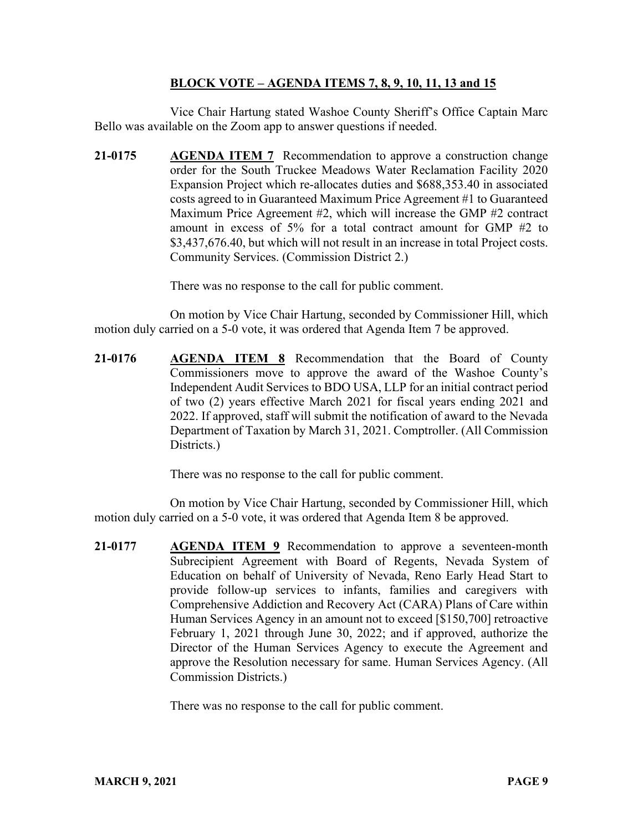# **BLOCK VOTE – AGENDA ITEMS 7, 8, 9, 10, 11, 13 and 15**

Vice Chair Hartung stated Washoe County Sheriff's Office Captain Marc Bello was available on the Zoom app to answer questions if needed.

**21-0175 AGENDA ITEM 7** Recommendation to approve a construction change order for the South Truckee Meadows Water Reclamation Facility 2020 Expansion Project which re-allocates duties and \$688,353.40 in associated costs agreed to in Guaranteed Maximum Price Agreement #1 to Guaranteed Maximum Price Agreement #2, which will increase the GMP #2 contract amount in excess of 5% for a total contract amount for GMP #2 to \$3,437,676.40, but which will not result in an increase in total Project costs. Community Services. (Commission District 2.)

There was no response to the call for public comment.

On motion by Vice Chair Hartung, seconded by Commissioner Hill, which motion duly carried on a 5-0 vote, it was ordered that Agenda Item 7 be approved.

**21-0176 AGENDA ITEM 8** Recommendation that the Board of County Commissioners move to approve the award of the Washoe County's Independent Audit Services to BDO USA, LLP for an initial contract period of two (2) years effective March 2021 for fiscal years ending 2021 and 2022. If approved, staff will submit the notification of award to the Nevada Department of Taxation by March 31, 2021. Comptroller. (All Commission Districts.)

There was no response to the call for public comment.

On motion by Vice Chair Hartung, seconded by Commissioner Hill, which motion duly carried on a 5-0 vote, it was ordered that Agenda Item 8 be approved.

**21-0177 AGENDA ITEM 9** Recommendation to approve a seventeen-month Subrecipient Agreement with Board of Regents, Nevada System of Education on behalf of University of Nevada, Reno Early Head Start to provide follow-up services to infants, families and caregivers with Comprehensive Addiction and Recovery Act (CARA) Plans of Care within Human Services Agency in an amount not to exceed [\$150,700] retroactive February 1, 2021 through June 30, 2022; and if approved, authorize the Director of the Human Services Agency to execute the Agreement and approve the Resolution necessary for same. Human Services Agency. (All Commission Districts.)

There was no response to the call for public comment.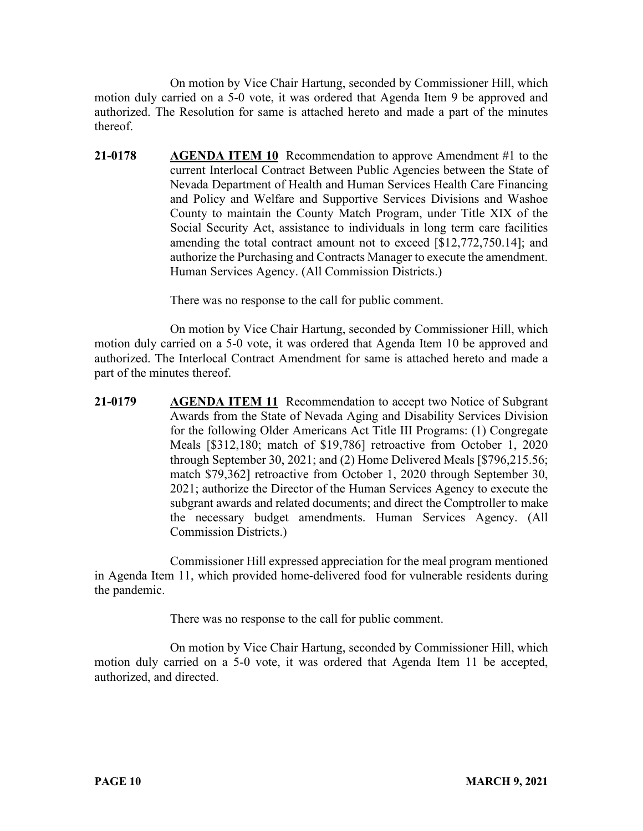On motion by Vice Chair Hartung, seconded by Commissioner Hill, which motion duly carried on a 5-0 vote, it was ordered that Agenda Item 9 be approved and authorized. The Resolution for same is attached hereto and made a part of the minutes thereof.

**21-0178 AGENDA ITEM 10** Recommendation to approve Amendment #1 to the current Interlocal Contract Between Public Agencies between the State of Nevada Department of Health and Human Services Health Care Financing and Policy and Welfare and Supportive Services Divisions and Washoe County to maintain the County Match Program, under Title XIX of the Social Security Act, assistance to individuals in long term care facilities amending the total contract amount not to exceed [\$12,772,750.14]; and authorize the Purchasing and Contracts Manager to execute the amendment. Human Services Agency. (All Commission Districts.)

There was no response to the call for public comment.

On motion by Vice Chair Hartung, seconded by Commissioner Hill, which motion duly carried on a 5-0 vote, it was ordered that Agenda Item 10 be approved and authorized. The Interlocal Contract Amendment for same is attached hereto and made a part of the minutes thereof.

**21-0179 AGENDA ITEM 11** Recommendation to accept two Notice of Subgrant Awards from the State of Nevada Aging and Disability Services Division for the following Older Americans Act Title III Programs: (1) Congregate Meals [\$312,180; match of \$19,786] retroactive from October 1, 2020 through September 30, 2021; and (2) Home Delivered Meals [\$796,215.56; match \$79,362] retroactive from October 1, 2020 through September 30, 2021; authorize the Director of the Human Services Agency to execute the subgrant awards and related documents; and direct the Comptroller to make the necessary budget amendments. Human Services Agency. (All Commission Districts.)

Commissioner Hill expressed appreciation for the meal program mentioned in Agenda Item 11, which provided home-delivered food for vulnerable residents during the pandemic.

There was no response to the call for public comment.

On motion by Vice Chair Hartung, seconded by Commissioner Hill, which motion duly carried on a 5-0 vote, it was ordered that Agenda Item 11 be accepted, authorized, and directed.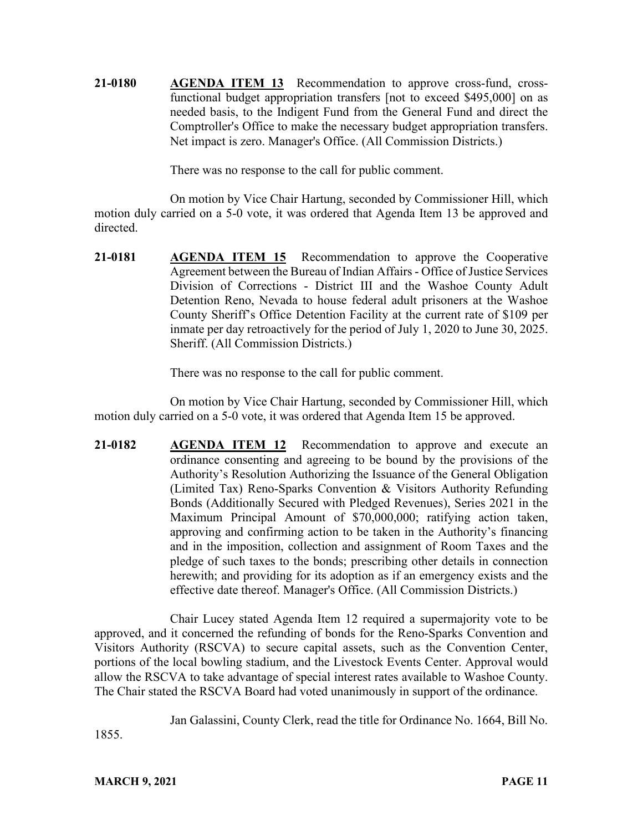**21-0180 AGENDA ITEM 13** Recommendation to approve cross-fund, crossfunctional budget appropriation transfers [not to exceed \$495,000] on as needed basis, to the Indigent Fund from the General Fund and direct the Comptroller's Office to make the necessary budget appropriation transfers. Net impact is zero. Manager's Office. (All Commission Districts.)

There was no response to the call for public comment.

On motion by Vice Chair Hartung, seconded by Commissioner Hill, which motion duly carried on a 5-0 vote, it was ordered that Agenda Item 13 be approved and directed.

**21-0181 AGENDA ITEM 15** Recommendation to approve the Cooperative Agreement between the Bureau of Indian Affairs - Office of Justice Services Division of Corrections - District III and the Washoe County Adult Detention Reno, Nevada to house federal adult prisoners at the Washoe County Sheriff's Office Detention Facility at the current rate of \$109 per inmate per day retroactively for the period of July 1, 2020 to June 30, 2025. Sheriff. (All Commission Districts.)

There was no response to the call for public comment.

On motion by Vice Chair Hartung, seconded by Commissioner Hill, which motion duly carried on a 5-0 vote, it was ordered that Agenda Item 15 be approved.

**21-0182 AGENDA ITEM 12** Recommendation to approve and execute an ordinance consenting and agreeing to be bound by the provisions of the Authority's Resolution Authorizing the Issuance of the General Obligation (Limited Tax) Reno-Sparks Convention & Visitors Authority Refunding Bonds (Additionally Secured with Pledged Revenues), Series 2021 in the Maximum Principal Amount of \$70,000,000; ratifying action taken, approving and confirming action to be taken in the Authority's financing and in the imposition, collection and assignment of Room Taxes and the pledge of such taxes to the bonds; prescribing other details in connection herewith; and providing for its adoption as if an emergency exists and the effective date thereof. Manager's Office. (All Commission Districts.)

Chair Lucey stated Agenda Item 12 required a supermajority vote to be approved, and it concerned the refunding of bonds for the Reno-Sparks Convention and Visitors Authority (RSCVA) to secure capital assets, such as the Convention Center, portions of the local bowling stadium, and the Livestock Events Center. Approval would allow the RSCVA to take advantage of special interest rates available to Washoe County. The Chair stated the RSCVA Board had voted unanimously in support of the ordinance.

Jan Galassini, County Clerk, read the title for Ordinance No. 1664, Bill No.

1855.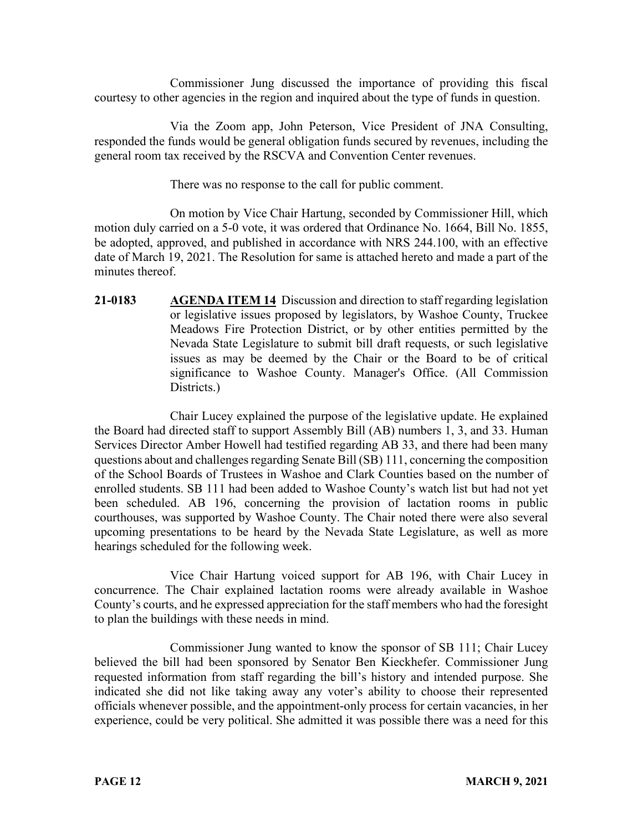Commissioner Jung discussed the importance of providing this fiscal courtesy to other agencies in the region and inquired about the type of funds in question.

Via the Zoom app, John Peterson, Vice President of JNA Consulting, responded the funds would be general obligation funds secured by revenues, including the general room tax received by the RSCVA and Convention Center revenues.

There was no response to the call for public comment.

On motion by Vice Chair Hartung, seconded by Commissioner Hill, which motion duly carried on a 5-0 vote, it was ordered that Ordinance No. 1664, Bill No. 1855, be adopted, approved, and published in accordance with NRS 244.100, with an effective date of March 19, 2021. The Resolution for same is attached hereto and made a part of the minutes thereof.

**21-0183 AGENDA ITEM 14** Discussion and direction to staff regarding legislation or legislative issues proposed by legislators, by Washoe County, Truckee Meadows Fire Protection District, or by other entities permitted by the Nevada State Legislature to submit bill draft requests, or such legislative issues as may be deemed by the Chair or the Board to be of critical significance to Washoe County. Manager's Office. (All Commission Districts.)

Chair Lucey explained the purpose of the legislative update. He explained the Board had directed staff to support Assembly Bill (AB) numbers 1, 3, and 33. Human Services Director Amber Howell had testified regarding AB 33, and there had been many questions about and challenges regarding Senate Bill (SB) 111, concerning the composition of the School Boards of Trustees in Washoe and Clark Counties based on the number of enrolled students. SB 111 had been added to Washoe County's watch list but had not yet been scheduled. AB 196, concerning the provision of lactation rooms in public courthouses, was supported by Washoe County. The Chair noted there were also several upcoming presentations to be heard by the Nevada State Legislature, as well as more hearings scheduled for the following week.

Vice Chair Hartung voiced support for AB 196, with Chair Lucey in concurrence. The Chair explained lactation rooms were already available in Washoe County's courts, and he expressed appreciation for the staff members who had the foresight to plan the buildings with these needs in mind.

Commissioner Jung wanted to know the sponsor of SB 111; Chair Lucey believed the bill had been sponsored by Senator Ben Kieckhefer. Commissioner Jung requested information from staff regarding the bill's history and intended purpose. She indicated she did not like taking away any voter's ability to choose their represented officials whenever possible, and the appointment-only process for certain vacancies, in her experience, could be very political. She admitted it was possible there was a need for this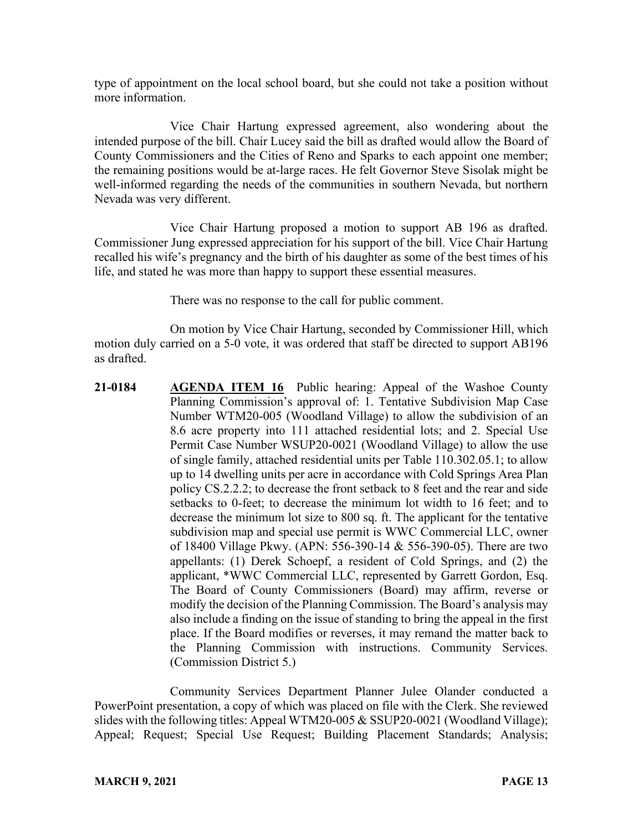type of appointment on the local school board, but she could not take a position without more information.

Vice Chair Hartung expressed agreement, also wondering about the intended purpose of the bill. Chair Lucey said the bill as drafted would allow the Board of County Commissioners and the Cities of Reno and Sparks to each appoint one member; the remaining positions would be at-large races. He felt Governor Steve Sisolak might be well-informed regarding the needs of the communities in southern Nevada, but northern Nevada was very different.

Vice Chair Hartung proposed a motion to support AB 196 as drafted. Commissioner Jung expressed appreciation for his support of the bill. Vice Chair Hartung recalled his wife's pregnancy and the birth of his daughter as some of the best times of his life, and stated he was more than happy to support these essential measures.

There was no response to the call for public comment.

On motion by Vice Chair Hartung, seconded by Commissioner Hill, which motion duly carried on a 5-0 vote, it was ordered that staff be directed to support AB196 as drafted.

**21-0184 AGENDA ITEM 16** Public hearing: Appeal of the Washoe County Planning Commission's approval of: 1. Tentative Subdivision Map Case Number WTM20-005 (Woodland Village) to allow the subdivision of an 8.6 acre property into 111 attached residential lots; and 2. Special Use Permit Case Number WSUP20-0021 (Woodland Village) to allow the use of single family, attached residential units per Table 110.302.05.1; to allow up to 14 dwelling units per acre in accordance with Cold Springs Area Plan policy CS.2.2.2; to decrease the front setback to 8 feet and the rear and side setbacks to 0-feet; to decrease the minimum lot width to 16 feet; and to decrease the minimum lot size to 800 sq. ft. The applicant for the tentative subdivision map and special use permit is WWC Commercial LLC, owner of 18400 Village Pkwy. (APN: 556-390-14 & 556-390-05). There are two appellants: (1) Derek Schoepf, a resident of Cold Springs, and (2) the applicant, \*WWC Commercial LLC, represented by Garrett Gordon, Esq. The Board of County Commissioners (Board) may affirm, reverse or modify the decision of the Planning Commission. The Board's analysis may also include a finding on the issue of standing to bring the appeal in the first place. If the Board modifies or reverses, it may remand the matter back to the Planning Commission with instructions. Community Services. (Commission District 5.)

Community Services Department Planner Julee Olander conducted a PowerPoint presentation, a copy of which was placed on file with the Clerk. She reviewed slides with the following titles: Appeal WTM20-005 & SSUP20-0021 (Woodland Village); Appeal; Request; Special Use Request; Building Placement Standards; Analysis;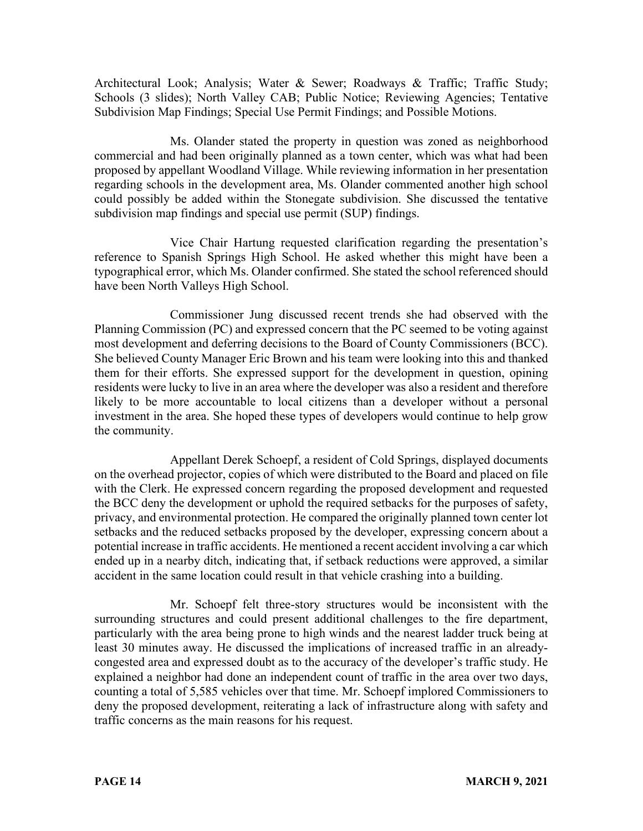Architectural Look; Analysis; Water & Sewer; Roadways & Traffic; Traffic Study; Schools (3 slides); North Valley CAB; Public Notice; Reviewing Agencies; Tentative Subdivision Map Findings; Special Use Permit Findings; and Possible Motions.

Ms. Olander stated the property in question was zoned as neighborhood commercial and had been originally planned as a town center, which was what had been proposed by appellant Woodland Village. While reviewing information in her presentation regarding schools in the development area, Ms. Olander commented another high school could possibly be added within the Stonegate subdivision. She discussed the tentative subdivision map findings and special use permit (SUP) findings.

Vice Chair Hartung requested clarification regarding the presentation's reference to Spanish Springs High School. He asked whether this might have been a typographical error, which Ms. Olander confirmed. She stated the school referenced should have been North Valleys High School.

Commissioner Jung discussed recent trends she had observed with the Planning Commission (PC) and expressed concern that the PC seemed to be voting against most development and deferring decisions to the Board of County Commissioners (BCC). She believed County Manager Eric Brown and his team were looking into this and thanked them for their efforts. She expressed support for the development in question, opining residents were lucky to live in an area where the developer was also a resident and therefore likely to be more accountable to local citizens than a developer without a personal investment in the area. She hoped these types of developers would continue to help grow the community.

Appellant Derek Schoepf, a resident of Cold Springs, displayed documents on the overhead projector, copies of which were distributed to the Board and placed on file with the Clerk. He expressed concern regarding the proposed development and requested the BCC deny the development or uphold the required setbacks for the purposes of safety, privacy, and environmental protection. He compared the originally planned town center lot setbacks and the reduced setbacks proposed by the developer, expressing concern about a potential increase in traffic accidents. He mentioned a recent accident involving a car which ended up in a nearby ditch, indicating that, if setback reductions were approved, a similar accident in the same location could result in that vehicle crashing into a building.

Mr. Schoepf felt three-story structures would be inconsistent with the surrounding structures and could present additional challenges to the fire department, particularly with the area being prone to high winds and the nearest ladder truck being at least 30 minutes away. He discussed the implications of increased traffic in an alreadycongested area and expressed doubt as to the accuracy of the developer's traffic study. He explained a neighbor had done an independent count of traffic in the area over two days, counting a total of 5,585 vehicles over that time. Mr. Schoepf implored Commissioners to deny the proposed development, reiterating a lack of infrastructure along with safety and traffic concerns as the main reasons for his request.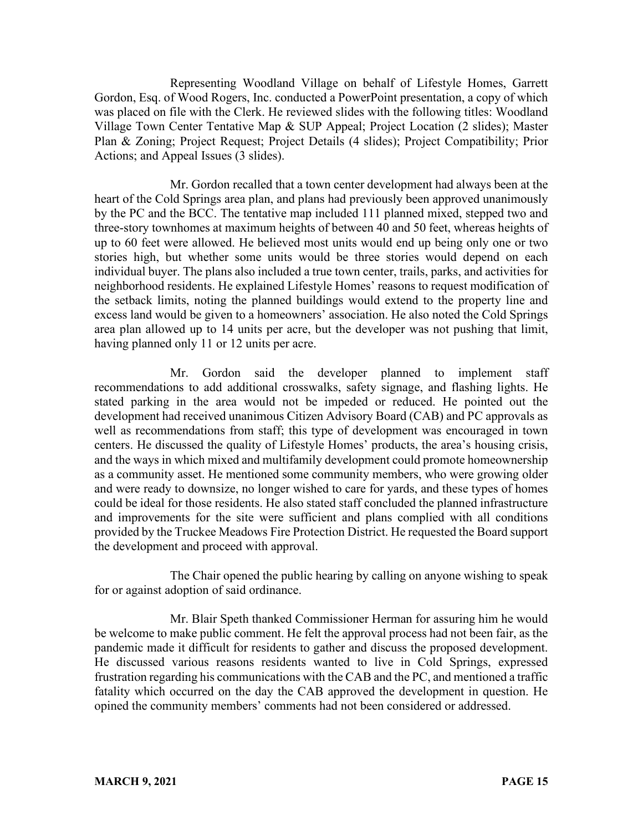Representing Woodland Village on behalf of Lifestyle Homes, Garrett Gordon, Esq. of Wood Rogers, Inc. conducted a PowerPoint presentation, a copy of which was placed on file with the Clerk. He reviewed slides with the following titles: Woodland Village Town Center Tentative Map & SUP Appeal; Project Location (2 slides); Master Plan & Zoning; Project Request; Project Details (4 slides); Project Compatibility; Prior Actions; and Appeal Issues (3 slides).

Mr. Gordon recalled that a town center development had always been at the heart of the Cold Springs area plan, and plans had previously been approved unanimously by the PC and the BCC. The tentative map included 111 planned mixed, stepped two and three-story townhomes at maximum heights of between 40 and 50 feet, whereas heights of up to 60 feet were allowed. He believed most units would end up being only one or two stories high, but whether some units would be three stories would depend on each individual buyer. The plans also included a true town center, trails, parks, and activities for neighborhood residents. He explained Lifestyle Homes' reasons to request modification of the setback limits, noting the planned buildings would extend to the property line and excess land would be given to a homeowners' association. He also noted the Cold Springs area plan allowed up to 14 units per acre, but the developer was not pushing that limit, having planned only 11 or 12 units per acre.

Mr. Gordon said the developer planned to implement staff recommendations to add additional crosswalks, safety signage, and flashing lights. He stated parking in the area would not be impeded or reduced. He pointed out the development had received unanimous Citizen Advisory Board (CAB) and PC approvals as well as recommendations from staff; this type of development was encouraged in town centers. He discussed the quality of Lifestyle Homes' products, the area's housing crisis, and the ways in which mixed and multifamily development could promote homeownership as a community asset. He mentioned some community members, who were growing older and were ready to downsize, no longer wished to care for yards, and these types of homes could be ideal for those residents. He also stated staff concluded the planned infrastructure and improvements for the site were sufficient and plans complied with all conditions provided by the Truckee Meadows Fire Protection District. He requested the Board support the development and proceed with approval.

The Chair opened the public hearing by calling on anyone wishing to speak for or against adoption of said ordinance.

Mr. Blair Speth thanked Commissioner Herman for assuring him he would be welcome to make public comment. He felt the approval process had not been fair, as the pandemic made it difficult for residents to gather and discuss the proposed development. He discussed various reasons residents wanted to live in Cold Springs, expressed frustration regarding his communications with the CAB and the PC, and mentioned a traffic fatality which occurred on the day the CAB approved the development in question. He opined the community members' comments had not been considered or addressed.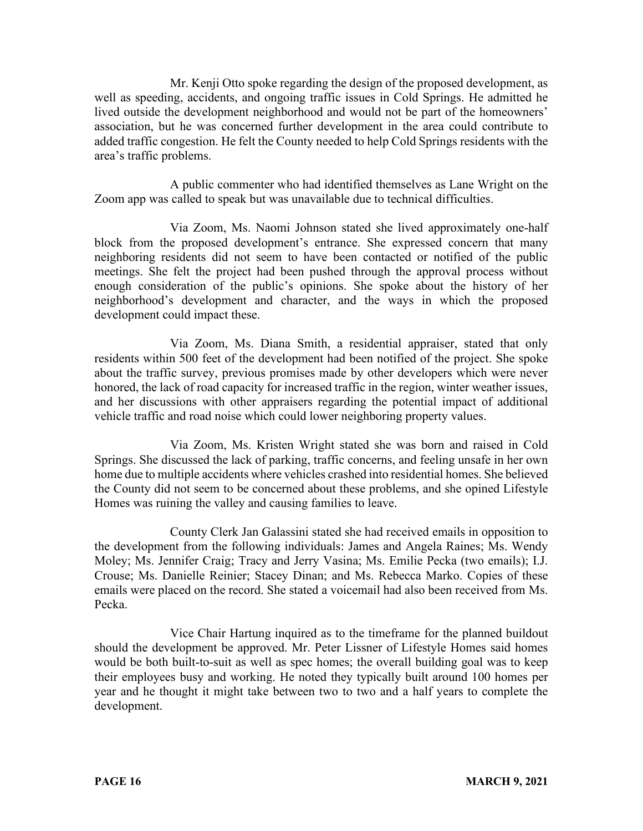Mr. Kenji Otto spoke regarding the design of the proposed development, as well as speeding, accidents, and ongoing traffic issues in Cold Springs. He admitted he lived outside the development neighborhood and would not be part of the homeowners' association, but he was concerned further development in the area could contribute to added traffic congestion. He felt the County needed to help Cold Springs residents with the area's traffic problems.

A public commenter who had identified themselves as Lane Wright on the Zoom app was called to speak but was unavailable due to technical difficulties.

Via Zoom, Ms. Naomi Johnson stated she lived approximately one-half block from the proposed development's entrance. She expressed concern that many neighboring residents did not seem to have been contacted or notified of the public meetings. She felt the project had been pushed through the approval process without enough consideration of the public's opinions. She spoke about the history of her neighborhood's development and character, and the ways in which the proposed development could impact these.

Via Zoom, Ms. Diana Smith, a residential appraiser, stated that only residents within 500 feet of the development had been notified of the project. She spoke about the traffic survey, previous promises made by other developers which were never honored, the lack of road capacity for increased traffic in the region, winter weather issues, and her discussions with other appraisers regarding the potential impact of additional vehicle traffic and road noise which could lower neighboring property values.

Via Zoom, Ms. Kristen Wright stated she was born and raised in Cold Springs. She discussed the lack of parking, traffic concerns, and feeling unsafe in her own home due to multiple accidents where vehicles crashed into residential homes. She believed the County did not seem to be concerned about these problems, and she opined Lifestyle Homes was ruining the valley and causing families to leave.

County Clerk Jan Galassini stated she had received emails in opposition to the development from the following individuals: James and Angela Raines; Ms. Wendy Moley; Ms. Jennifer Craig; Tracy and Jerry Vasina; Ms. Emilie Pecka (two emails); I.J. Crouse; Ms. Danielle Reinier; Stacey Dinan; and Ms. Rebecca Marko. Copies of these emails were placed on the record. She stated a voicemail had also been received from Ms. Pecka.

Vice Chair Hartung inquired as to the timeframe for the planned buildout should the development be approved. Mr. Peter Lissner of Lifestyle Homes said homes would be both built-to-suit as well as spec homes; the overall building goal was to keep their employees busy and working. He noted they typically built around 100 homes per year and he thought it might take between two to two and a half years to complete the development.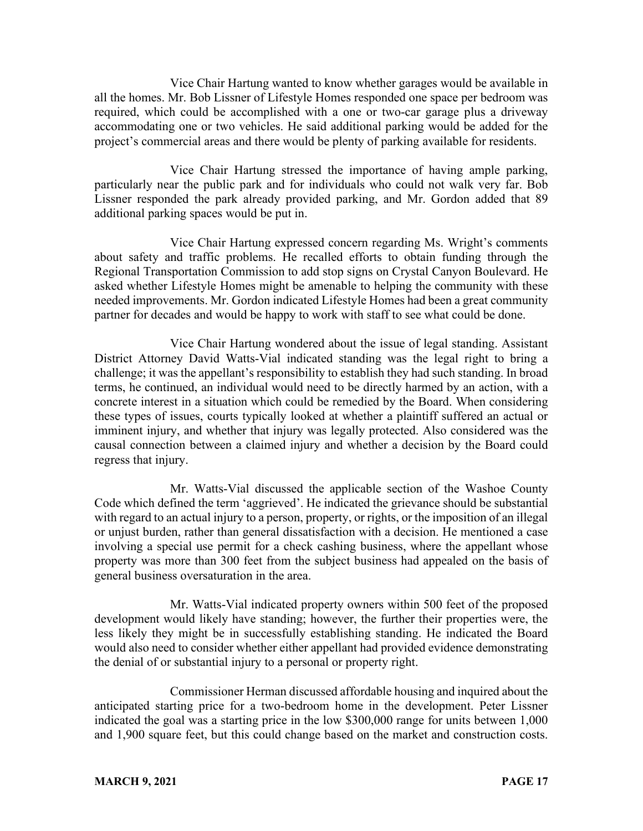Vice Chair Hartung wanted to know whether garages would be available in all the homes. Mr. Bob Lissner of Lifestyle Homes responded one space per bedroom was required, which could be accomplished with a one or two-car garage plus a driveway accommodating one or two vehicles. He said additional parking would be added for the project's commercial areas and there would be plenty of parking available for residents.

Vice Chair Hartung stressed the importance of having ample parking, particularly near the public park and for individuals who could not walk very far. Bob Lissner responded the park already provided parking, and Mr. Gordon added that 89 additional parking spaces would be put in.

Vice Chair Hartung expressed concern regarding Ms. Wright's comments about safety and traffic problems. He recalled efforts to obtain funding through the Regional Transportation Commission to add stop signs on Crystal Canyon Boulevard. He asked whether Lifestyle Homes might be amenable to helping the community with these needed improvements. Mr. Gordon indicated Lifestyle Homes had been a great community partner for decades and would be happy to work with staff to see what could be done.

Vice Chair Hartung wondered about the issue of legal standing. Assistant District Attorney David Watts-Vial indicated standing was the legal right to bring a challenge; it was the appellant's responsibility to establish they had such standing. In broad terms, he continued, an individual would need to be directly harmed by an action, with a concrete interest in a situation which could be remedied by the Board. When considering these types of issues, courts typically looked at whether a plaintiff suffered an actual or imminent injury, and whether that injury was legally protected. Also considered was the causal connection between a claimed injury and whether a decision by the Board could regress that injury.

Mr. Watts-Vial discussed the applicable section of the Washoe County Code which defined the term 'aggrieved'. He indicated the grievance should be substantial with regard to an actual injury to a person, property, or rights, or the imposition of an illegal or unjust burden, rather than general dissatisfaction with a decision. He mentioned a case involving a special use permit for a check cashing business, where the appellant whose property was more than 300 feet from the subject business had appealed on the basis of general business oversaturation in the area.

Mr. Watts-Vial indicated property owners within 500 feet of the proposed development would likely have standing; however, the further their properties were, the less likely they might be in successfully establishing standing. He indicated the Board would also need to consider whether either appellant had provided evidence demonstrating the denial of or substantial injury to a personal or property right.

Commissioner Herman discussed affordable housing and inquired about the anticipated starting price for a two-bedroom home in the development. Peter Lissner indicated the goal was a starting price in the low \$300,000 range for units between 1,000 and 1,900 square feet, but this could change based on the market and construction costs.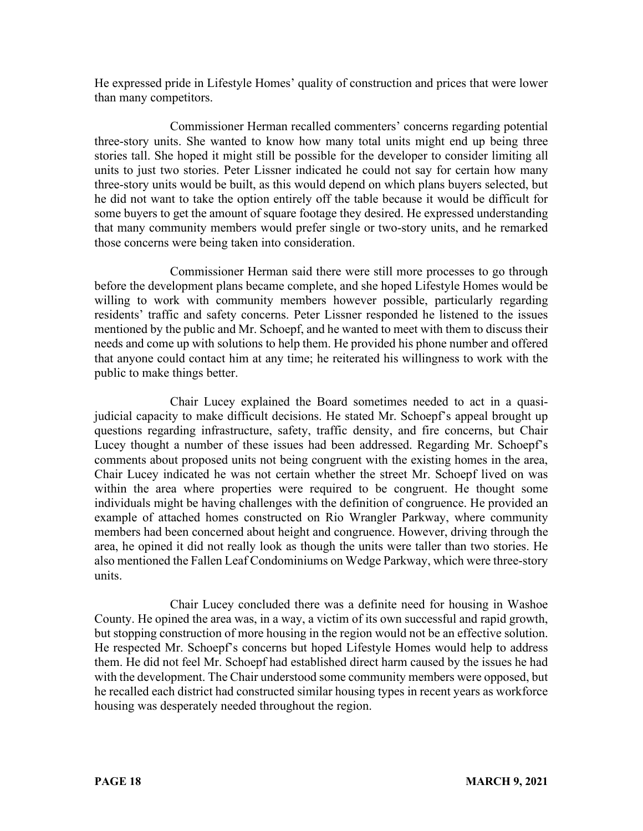He expressed pride in Lifestyle Homes' quality of construction and prices that were lower than many competitors.

Commissioner Herman recalled commenters' concerns regarding potential three-story units. She wanted to know how many total units might end up being three stories tall. She hoped it might still be possible for the developer to consider limiting all units to just two stories. Peter Lissner indicated he could not say for certain how many three-story units would be built, as this would depend on which plans buyers selected, but he did not want to take the option entirely off the table because it would be difficult for some buyers to get the amount of square footage they desired. He expressed understanding that many community members would prefer single or two-story units, and he remarked those concerns were being taken into consideration.

Commissioner Herman said there were still more processes to go through before the development plans became complete, and she hoped Lifestyle Homes would be willing to work with community members however possible, particularly regarding residents' traffic and safety concerns. Peter Lissner responded he listened to the issues mentioned by the public and Mr. Schoepf, and he wanted to meet with them to discuss their needs and come up with solutions to help them. He provided his phone number and offered that anyone could contact him at any time; he reiterated his willingness to work with the public to make things better.

Chair Lucey explained the Board sometimes needed to act in a quasijudicial capacity to make difficult decisions. He stated Mr. Schoepf's appeal brought up questions regarding infrastructure, safety, traffic density, and fire concerns, but Chair Lucey thought a number of these issues had been addressed. Regarding Mr. Schoepf's comments about proposed units not being congruent with the existing homes in the area, Chair Lucey indicated he was not certain whether the street Mr. Schoepf lived on was within the area where properties were required to be congruent. He thought some individuals might be having challenges with the definition of congruence. He provided an example of attached homes constructed on Rio Wrangler Parkway, where community members had been concerned about height and congruence. However, driving through the area, he opined it did not really look as though the units were taller than two stories. He also mentioned the Fallen Leaf Condominiums on Wedge Parkway, which were three-story units.

Chair Lucey concluded there was a definite need for housing in Washoe County. He opined the area was, in a way, a victim of its own successful and rapid growth, but stopping construction of more housing in the region would not be an effective solution. He respected Mr. Schoepf's concerns but hoped Lifestyle Homes would help to address them. He did not feel Mr. Schoepf had established direct harm caused by the issues he had with the development. The Chair understood some community members were opposed, but he recalled each district had constructed similar housing types in recent years as workforce housing was desperately needed throughout the region.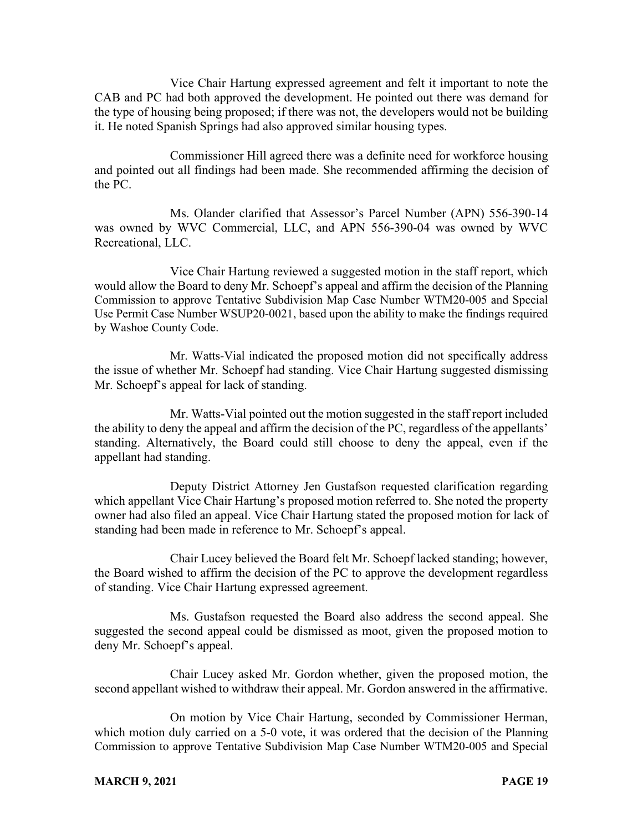Vice Chair Hartung expressed agreement and felt it important to note the CAB and PC had both approved the development. He pointed out there was demand for the type of housing being proposed; if there was not, the developers would not be building it. He noted Spanish Springs had also approved similar housing types.

Commissioner Hill agreed there was a definite need for workforce housing and pointed out all findings had been made. She recommended affirming the decision of the PC.

Ms. Olander clarified that Assessor's Parcel Number (APN) 556-390-14 was owned by WVC Commercial, LLC, and APN 556-390-04 was owned by WVC Recreational, LLC.

Vice Chair Hartung reviewed a suggested motion in the staff report, which would allow the Board to deny Mr. Schoepf's appeal and affirm the decision of the Planning Commission to approve Tentative Subdivision Map Case Number WTM20-005 and Special Use Permit Case Number WSUP20-0021, based upon the ability to make the findings required by Washoe County Code.

Mr. Watts-Vial indicated the proposed motion did not specifically address the issue of whether Mr. Schoepf had standing. Vice Chair Hartung suggested dismissing Mr. Schoepf's appeal for lack of standing.

Mr. Watts-Vial pointed out the motion suggested in the staff report included the ability to deny the appeal and affirm the decision of the PC, regardless of the appellants' standing. Alternatively, the Board could still choose to deny the appeal, even if the appellant had standing.

Deputy District Attorney Jen Gustafson requested clarification regarding which appellant Vice Chair Hartung's proposed motion referred to. She noted the property owner had also filed an appeal. Vice Chair Hartung stated the proposed motion for lack of standing had been made in reference to Mr. Schoepf's appeal.

Chair Lucey believed the Board felt Mr. Schoepf lacked standing; however, the Board wished to affirm the decision of the PC to approve the development regardless of standing. Vice Chair Hartung expressed agreement.

Ms. Gustafson requested the Board also address the second appeal. She suggested the second appeal could be dismissed as moot, given the proposed motion to deny Mr. Schoepf's appeal.

Chair Lucey asked Mr. Gordon whether, given the proposed motion, the second appellant wished to withdraw their appeal. Mr. Gordon answered in the affirmative.

On motion by Vice Chair Hartung, seconded by Commissioner Herman, which motion duly carried on a 5-0 vote, it was ordered that the decision of the Planning Commission to approve Tentative Subdivision Map Case Number WTM20-005 and Special

#### **MARCH 9, 2021 PAGE 19**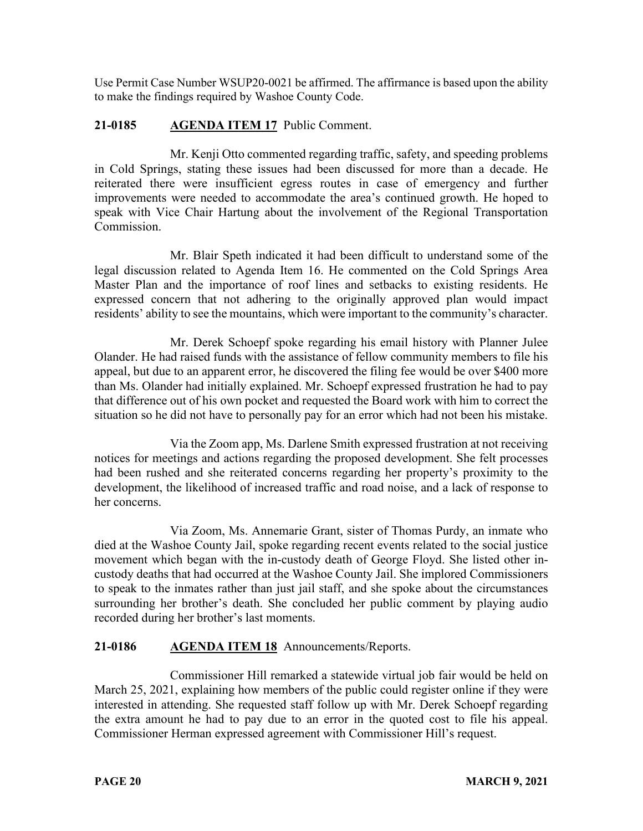Use Permit Case Number WSUP20-0021 be affirmed. The affirmance is based upon the ability to make the findings required by Washoe County Code.

# **21-0185 AGENDA ITEM 17** Public Comment.

Mr. Kenji Otto commented regarding traffic, safety, and speeding problems in Cold Springs, stating these issues had been discussed for more than a decade. He reiterated there were insufficient egress routes in case of emergency and further improvements were needed to accommodate the area's continued growth. He hoped to speak with Vice Chair Hartung about the involvement of the Regional Transportation Commission.

Mr. Blair Speth indicated it had been difficult to understand some of the legal discussion related to Agenda Item 16. He commented on the Cold Springs Area Master Plan and the importance of roof lines and setbacks to existing residents. He expressed concern that not adhering to the originally approved plan would impact residents' ability to see the mountains, which were important to the community's character.

Mr. Derek Schoepf spoke regarding his email history with Planner Julee Olander. He had raised funds with the assistance of fellow community members to file his appeal, but due to an apparent error, he discovered the filing fee would be over \$400 more than Ms. Olander had initially explained. Mr. Schoepf expressed frustration he had to pay that difference out of his own pocket and requested the Board work with him to correct the situation so he did not have to personally pay for an error which had not been his mistake.

Via the Zoom app, Ms. Darlene Smith expressed frustration at not receiving notices for meetings and actions regarding the proposed development. She felt processes had been rushed and she reiterated concerns regarding her property's proximity to the development, the likelihood of increased traffic and road noise, and a lack of response to her concerns.

Via Zoom, Ms. Annemarie Grant, sister of Thomas Purdy, an inmate who died at the Washoe County Jail, spoke regarding recent events related to the social justice movement which began with the in-custody death of George Floyd. She listed other incustody deaths that had occurred at the Washoe County Jail. She implored Commissioners to speak to the inmates rather than just jail staff, and she spoke about the circumstances surrounding her brother's death. She concluded her public comment by playing audio recorded during her brother's last moments.

## **21-0186 AGENDA ITEM 18** Announcements/Reports.

Commissioner Hill remarked a statewide virtual job fair would be held on March 25, 2021, explaining how members of the public could register online if they were interested in attending. She requested staff follow up with Mr. Derek Schoepf regarding the extra amount he had to pay due to an error in the quoted cost to file his appeal. Commissioner Herman expressed agreement with Commissioner Hill's request.